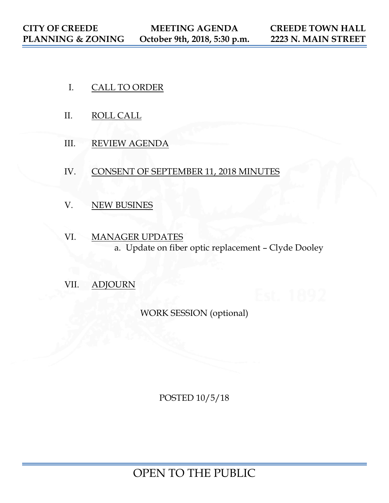- I. CALL TO ORDER
- II. ROLL CALL
- III. REVIEW AGENDA
- IV. CONSENT OF SEPTEMBER 11, 2018 MINUTES
- V. NEW BUSINES
- VI. MANAGER UPDATES a. Update on fiber optic replacement – Clyde Dooley
- VII. ADJOURN

WORK SESSION (optional)

POSTED 10/5/18